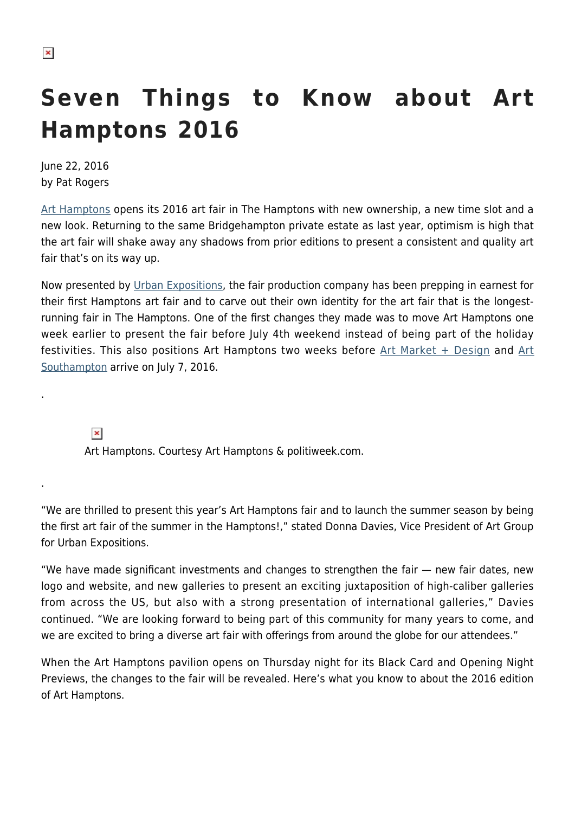# **Seven Things to Know about Art Hamptons 2016**

June 22, 2016 by Pat Rogers

[Art Hamptons](http://www.arthamptons.com/?utm_source=hamptonsarthub&utm_medium=banner&utm_term=ah2016&utm_content=ah16&utm_campaign=ah16) opens its 2016 art fair in The Hamptons with new ownership, a new time slot and a new look. Returning to the same Bridgehampton private estate as last year, optimism is high that the art fair will shake away any shadows from prior editions to present a consistent and quality art fair that's on its way up.

Now presented by [Urban Expositions,](http://www.urban-expo.com/64/urban-expositions-about.htm) the fair production company has been prepping in earnest for their first Hamptons art fair and to carve out their own identity for the art fair that is the longestrunning fair in The Hamptons. One of the first changes they made was to move Art Hamptons one week earlier to present the fair before July 4th weekend instead of being part of the holiday festivities. This also positions [Art](http://www.art-southampton.com) Hamptons two weeks before  $Art$  Market + Design and Art [Southampton](http://www.art-southampton.com) arrive on July 7, 2016.

 $\pmb{\times}$ 

.

.

Art Hamptons. Courtesy Art Hamptons & politiweek.com.

"We are thrilled to present this year's Art Hamptons fair and to launch the summer season by being the first art fair of the summer in the Hamptons!," stated Donna Davies, Vice President of Art Group for Urban Expositions.

"We have made significant investments and changes to strengthen the fair — new fair dates, new logo and website, and new galleries to present an exciting juxtaposition of high-caliber galleries from across the US, but also with a strong presentation of international galleries," Davies continued. "We are looking forward to being part of this community for many years to come, and we are excited to bring a diverse art fair with offerings from around the globe for our attendees."

When the Art Hamptons pavilion opens on Thursday night for its Black Card and Opening Night Previews, the changes to the fair will be revealed. Here's what you know to about the 2016 edition of Art Hamptons.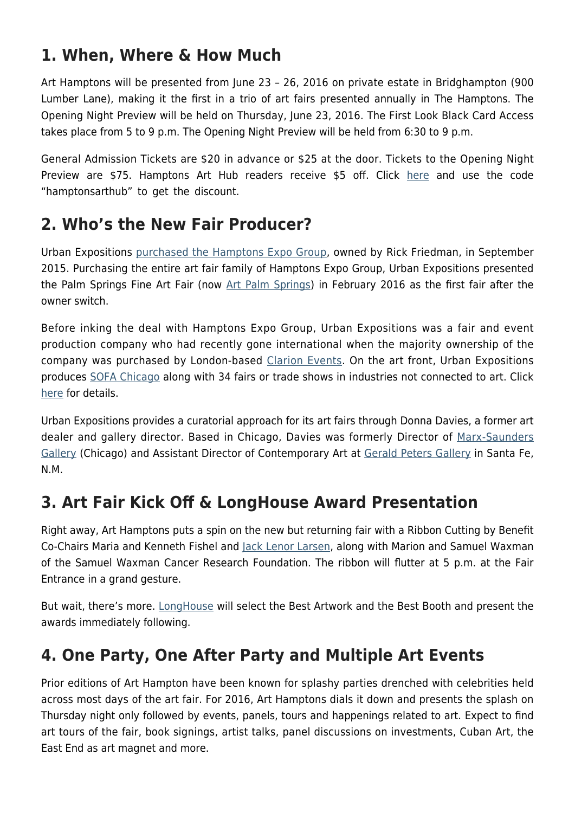#### **1. When, Where & How Much**

Art Hamptons will be presented from June 23 – 26, 2016 on private estate in Bridghampton (900 Lumber Lane), making it the first in a trio of art fairs presented annually in The Hamptons. The Opening Night Preview will be held on Thursday, June 23, 2016. The First Look Black Card Access takes place from 5 to 9 p.m. The Opening Night Preview will be held from 6:30 to 9 p.m.

General Admission Tickets are \$20 in advance or \$25 at the door. Tickets to the Opening Night Preview are \$75. Hamptons Art Hub readers receive \$5 off. Click [here](https://hamptonsarthub.com/wp-content/plugins/oiopub-direct/modules/tracker/go.php?id=383) and use the code "hamptonsarthub" to get the discount.

#### **2. Who's the New Fair Producer?**

Urban Expositions [purchased the Hamptons Expo Group](https://hamptonsarthub.com/2015/09/21/hamptons-expo-group-sold-to-urban-exposition/), owned by Rick Friedman, in September 2015. Purchasing the entire art fair family of Hamptons Expo Group, Urban Expositions presented the Palm Springs Fine Art Fair (now [Art Palm Springs\)](http://www.art-palmsprings.com/) in February 2016 as the first fair after the owner switch.

Before inking the deal with Hamptons Expo Group, Urban Expositions was a fair and event production company who had recently gone international when the majority ownership of the company was purchased by London-based [Clarion Events](http://www.clarionevents.com/). On the art front, Urban Expositions produces [SOFA Chicago](http://www.sofaexpo.com/) along with 34 fairs or trade shows in industries not connected to art. Click [here](http://www.urban-expo.com/64/urban-expositions-about.htm) for details.

Urban Expositions provides a curatorial approach for its art fairs through Donna Davies, a former art dealer and gallery director. Based in Chicago, Davies was formerly Director of [Marx-Saunders](http://www.kensaundersgallery.com/) [Gallery](http://www.kensaundersgallery.com/) (Chicago) and Assistant Director of Contemporary Art at [Gerald Peters Gallery](http://www.gpgallery.com/) in Santa Fe, N.M.

#### **3. Art Fair Kick Off & LongHouse Award Presentation**

Right away, Art Hamptons puts a spin on the new but returning fair with a Ribbon Cutting by Benefit Co-Chairs Maria and Kenneth Fishel and [Jack Lenor Larsen,](https://en.wikipedia.org/wiki/Jack_Lenor_Larsen) along with Marion and Samuel Waxman of the Samuel Waxman Cancer Research Foundation. The ribbon will flutter at 5 p.m. at the Fair Entrance in a grand gesture.

But wait, there's more. [LongHouse](https://hamptonsarthub.com/museum-guide/longhouse-reserve/) will select the Best Artwork and the Best Booth and present the awards immediately following.

#### **4. One Party, One After Party and Multiple Art Events**

Prior editions of Art Hampton have been known for splashy parties drenched with celebrities held across most days of the art fair. For 2016, Art Hamptons dials it down and presents the splash on Thursday night only followed by events, panels, tours and happenings related to art. Expect to find art tours of the fair, book signings, artist talks, panel discussions on investments, Cuban Art, the East End as art magnet and more.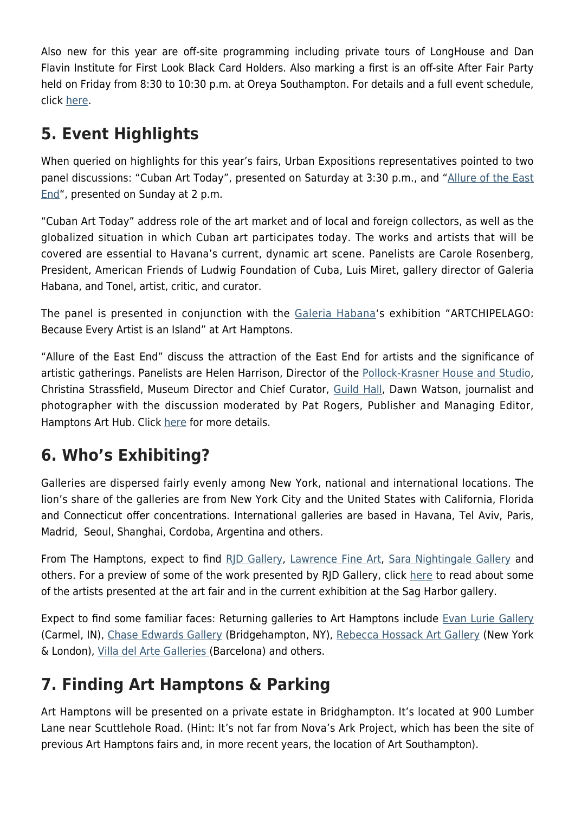Also new for this year are off-site programming including private tours of LongHouse and Dan Flavin Institute for First Look Black Card Holders. Also marking a first is an off-site After Fair Party held on Friday from 8:30 to 10:30 p.m. at Oreya Southampton. For details and a full event schedule, click [here](http://www.arthamptons.com/category/2016-programming-events/).

## **5. Event Highlights**

When queried on highlights for this year's fairs, Urban Expositions representatives pointed to two panel discussions: "Cuban Art Today", presented on Saturday at 3:30 p.m., and "[Allure of the East](https://hamptonsarthub.com/2016/06/22/events-east-end-allure-for-artists-artist-fellowships-discussed-in-panel-at-art-hamptons/) [End"](https://hamptonsarthub.com/2016/06/22/events-east-end-allure-for-artists-artist-fellowships-discussed-in-panel-at-art-hamptons/), presented on Sunday at 2 p.m.

"Cuban Art Today" address role of the art market and of local and foreign collectors, as well as the globalized situation in which Cuban art participates today. The works and artists that will be covered are essential to Havana's current, dynamic art scene. Panelists are Carole Rosenberg, President, American Friends of Ludwig Foundation of Cuba, Luis Miret, gallery director of Galeria Habana, and Tonel, artist, critic, and curator.

The panel is presented in conjunction with the [Galeria Habana](http://www.galerihabana.com/index.php?lg=en)'s exhibition "ARTCHIPELAGO: Because Every Artist is an Island" at Art Hamptons.

"Allure of the East End" discuss the attraction of the East End for artists and the significance of artistic gatherings. Panelists are Helen Harrison, Director of the [Pollock-Krasner House and Studio,](https://hamptonsarthub.com/museum-guide/pollock-krasner-house-and-study-center/) Christina Strassfield, Museum Director and Chief Curator, [Guild Hall,](https://hamptonsarthub.com/museum-guide/guild-hall/) Dawn Watson, journalist and photographer with the discussion moderated by Pat Rogers, Publisher and Managing Editor, Hamptons Art Hub. Click [here](https://hamptonsarthub.com/2016/06/22/events-east-end-allure-for-artists-artist-fellowships-discussed-in-panel-at-art-hamptons/) for more details.

#### **6. Who's Exhibiting?**

Galleries are dispersed fairly evenly among New York, national and international locations. The lion's share of the galleries are from New York City and the United States with California, Florida and Connecticut offer concentrations. International galleries are based in Havana, Tel Aviv, Paris, Madrid, Seoul, Shanghai, Cordoba, Argentina and others.

From The Hamptons, expect to find RID Gallery, [Lawrence Fine Art,](https://hamptonsarthub.com/author/lawrence-fine-art/) [Sara Nightingale Gallery](https://hamptonsarthub.com/gallery-guide/sara-nightingale-gallery/) and others. For a preview of some of the work presented by RJD Gallery, click [here](https://hamptonsarthub.com/2016/06/16/exhibitions-dramatic-figurative-paintings-conjure-imaginative-narratives-in-parallel-universe-at-rjd-gallery/) to read about some of the artists presented at the art fair and in the current exhibition at the Sag Harbor gallery.

Expect to find some familiar faces: Returning galleries to Art Hamptons include [Evan Lurie Gallery](http://evanluriegallery.com/) (Carmel, IN), [Chase Edwards Gallery](https://hamptonsarthub.com/gallery-guide/chase-edwards-contemporary-fine-art/) (Bridgehampton, NY), [Rebecca Hossack Art Gallery](http://www.rebeccahossack.com/) (New York & London), [Villa del Arte Galleries \(](https://hamptonsarthub.com/2015/06/22/villa-del-arte-will-participate-in-art-hamptons-and-art-southampton/)Barcelona) and others.

### **7. Finding Art Hamptons & Parking**

Art Hamptons will be presented on a private estate in Bridghampton. It's located at 900 Lumber Lane near Scuttlehole Road. (Hint: It's not far from Nova's Ark Project, which has been the site of previous Art Hamptons fairs and, in more recent years, the location of Art Southampton).